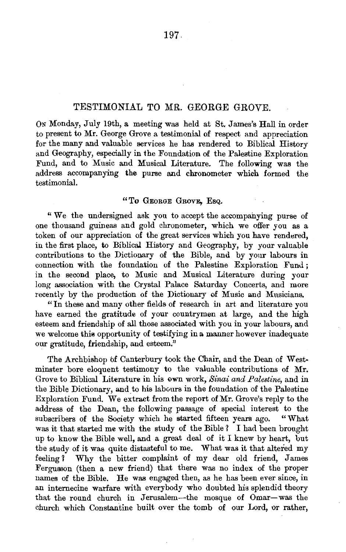## TESTIMONIAL TO MR. GEORGE GROVE.

ON Monday, July 19th, a meeting was held at St. James's Hall in order to present to Mr. George Grove a testimonial of respect and appreciation for the many and valuable services he has rendered to Biblical History and Geography, especially in the Foundation of the Palestine Exploration Fund, and to Music and Musical Literature. The following was the address accompanying the purse and chronometer which formed the testimonial.

## "To GEORGE GROVE, Esq.

"We the undersigned ask you to accept the accompanying purse of one thousand guineas and gold chronometer, which we offer you as a token of our appreciation of the great services which you have rendered, in the first place, to Biblical History and Geography, by your valuable contributions to the Dictionary of the Bible, and by your labours in connection with the foundation of the Palestine Exploration Fund ; in the second place, to Music and Musical Literature during your long association with the Crystal Palace Saturday Concerts, and more recently by the production of the Dictionary of Music and Musicians.

"Iu these and many other fields of research in art and literature you have earned the gratitude of your countrymen at large, and the high esteem and friendship of all those associated with you in your labours, and we welcome this opportunity of testifying in a manner however inadequate our gratitude, friendship, and esteem."

The Archbishop of Canterbury took the Chair, and the Dean of West· minster bore eloquent testimony to the valuable contributions of Mr. Grove to Biblical Literature in his own work, *Sinai and Palestine,* and in the Bible Dictionary, and to his labours in the foundation of the Palestine Exploration Fund. We extract from the report of Mr. Grove's reply to the address of the Dean, the following passage of special interest to the subscribers of the Society which he started fifteen years ago. "What was it that started me with the study of the Bible ? I had been brought up to know the Bible well, and a great deal of it I knew by heart, but tbe study of it was quite distasteful to me. What was it that altered my feeling ? Why the bitter complaint of my dear old friend, James Fergusson (then a new friend) that there was no index of the proper names of the Bible. He was engaged then, as he has been ever since, in an internecine warfare with everybody who doubted his splendid theory that the round church in Jerusalem-the mosque of Omar-was the church which Constantine built over the tomb of our Lord, or rather,